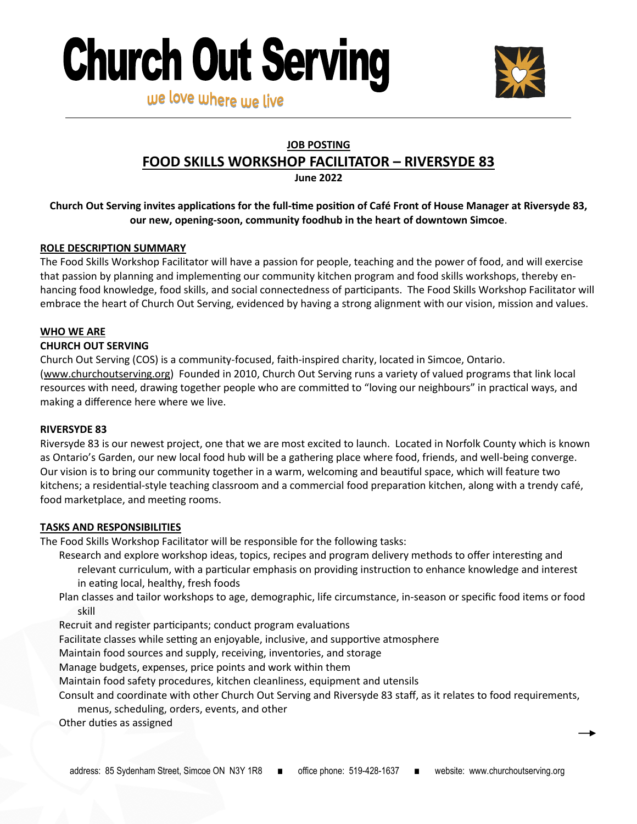



### **JOB POSTING**

# **FOOD SKILLS WORKSHOP FACILITATOR – RIVERSYDE 83**

**June 2022**

## **Church Out Serving invites applications for the full-time position of Café Front of House Manager at Riversyde 83, our new, opening-soon, community foodhub in the heart of downtown Simcoe**.

#### **ROLE DESCRIPTION SUMMARY**

The Food Skills Workshop Facilitator will have a passion for people, teaching and the power of food, and will exercise that passion by planning and implementing our community kitchen program and food skills workshops, thereby enhancing food knowledge, food skills, and social connectedness of participants. The Food Skills Workshop Facilitator will embrace the heart of Church Out Serving, evidenced by having a strong alignment with our vision, mission and values.

#### **WHO WE ARE**

#### **CHURCH OUT SERVING**

Church Out Serving (COS) is a community-focused, faith-inspired charity, located in Simcoe, Ontario. ([www.churchoutserving.org\)](http://www.churchoutserving.org) Founded in 2010, Church Out Serving runs a variety of valued programs that link local resources with need, drawing together people who are committed to "loving our neighbours" in practical ways, and making a difference here where we live.

#### **RIVERSYDE 83**

Riversyde 83 is our newest project, one that we are most excited to launch. Located in Norfolk County which is known as Ontario's Garden, our new local food hub will be a gathering place where food, friends, and well-being converge. Our vision is to bring our community together in a warm, welcoming and beautiful space, which will feature two kitchens; a residential-style teaching classroom and a commercial food preparation kitchen, along with a trendy café, food marketplace, and meeting rooms.

#### **TASKS AND RESPONSIBILITIES**

The Food Skills Workshop Facilitator will be responsible for the following tasks:

- Research and explore workshop ideas, topics, recipes and program delivery methods to offer interesting and relevant curriculum, with a particular emphasis on providing instruction to enhance knowledge and interest in eating local, healthy, fresh foods
- Plan classes and tailor workshops to age, demographic, life circumstance, in-season or specific food items or food skill
- Recruit and register participants; conduct program evaluations
- Facilitate classes while setting an enjoyable, inclusive, and supportive atmosphere

Maintain food sources and supply, receiving, inventories, and storage

Manage budgets, expenses, price points and work within them

Maintain food safety procedures, kitchen cleanliness, equipment and utensils

Consult and coordinate with other Church Out Serving and Riversyde 83 staff, as it relates to food requirements,

menus, scheduling, orders, events, and other

Other duties as assigned